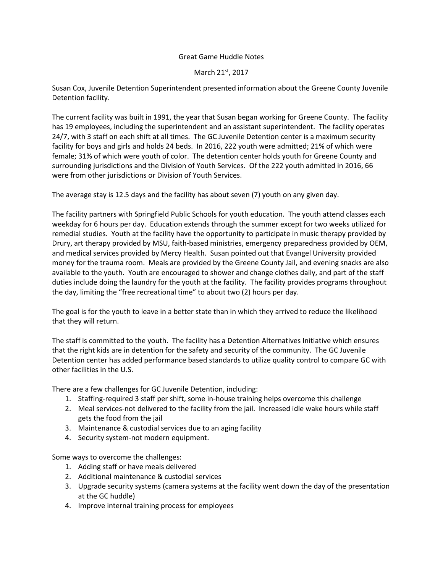## Great Game Huddle Notes

## March 21st, 2017

Susan Cox, Juvenile Detention Superintendent presented information about the Greene County Juvenile Detention facility.

The current facility was built in 1991, the year that Susan began working for Greene County. The facility has 19 employees, including the superintendent and an assistant superintendent. The facility operates 24/7, with 3 staff on each shift at all times. The GC Juvenile Detention center is a maximum security facility for boys and girls and holds 24 beds. In 2016, 222 youth were admitted; 21% of which were female; 31% of which were youth of color. The detention center holds youth for Greene County and surrounding jurisdictions and the Division of Youth Services. Of the 222 youth admitted in 2016, 66 were from other jurisdictions or Division of Youth Services.

The average stay is 12.5 days and the facility has about seven (7) youth on any given day.

The facility partners with Springfield Public Schools for youth education. The youth attend classes each weekday for 6 hours per day. Education extends through the summer except for two weeks utilized for remedial studies. Youth at the facility have the opportunity to participate in music therapy provided by Drury, art therapy provided by MSU, faith-based ministries, emergency preparedness provided by OEM, and medical services provided by Mercy Health. Susan pointed out that Evangel University provided money for the trauma room. Meals are provided by the Greene County Jail, and evening snacks are also available to the youth. Youth are encouraged to shower and change clothes daily, and part of the staff duties include doing the laundry for the youth at the facility. The facility provides programs throughout the day, limiting the "free recreational time" to about two (2) hours per day.

The goal is for the youth to leave in a better state than in which they arrived to reduce the likelihood that they will return.

The staff is committed to the youth. The facility has a Detention Alternatives Initiative which ensures that the right kids are in detention for the safety and security of the community. The GC Juvenile Detention center has added performance based standards to utilize quality control to compare GC with other facilities in the U.S.

There are a few challenges for GC Juvenile Detention, including:

- 1. Staffing-required 3 staff per shift, some in-house training helps overcome this challenge
- 2. Meal services-not delivered to the facility from the jail. Increased idle wake hours while staff gets the food from the jail
- 3. Maintenance & custodial services due to an aging facility
- 4. Security system-not modern equipment.

Some ways to overcome the challenges:

- 1. Adding staff or have meals delivered
- 2. Additional maintenance & custodial services
- 3. Upgrade security systems (camera systems at the facility went down the day of the presentation at the GC huddle)
- 4. Improve internal training process for employees